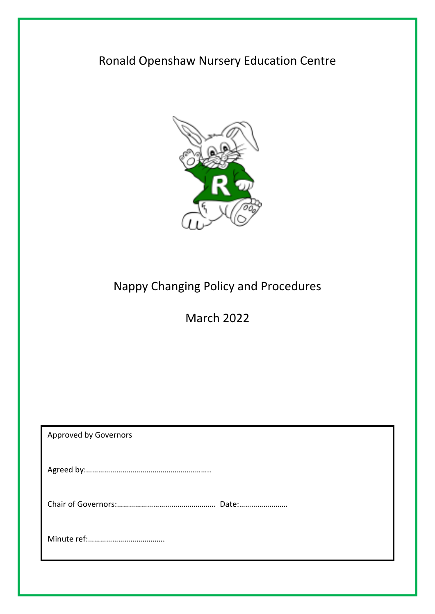## Ronald Openshaw Nursery Education Centre



# Nappy Changing Policy and Procedures

March 2022

| <b>Approved by Governors</b> |
|------------------------------|
|                              |
|                              |
|                              |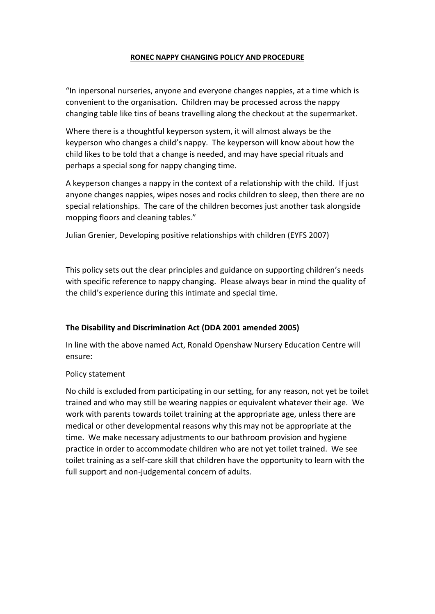#### **RONEC NAPPY CHANGING POLICY AND PROCEDURE**

"In inpersonal nurseries, anyone and everyone changes nappies, at a time which is convenient to the organisation. Children may be processed across the nappy changing table like tins of beans travelling along the checkout at the supermarket.

Where there is a thoughtful keyperson system, it will almost always be the keyperson who changes a child's nappy. The keyperson will know about how the child likes to be told that a change is needed, and may have special rituals and perhaps a special song for nappy changing time.

A keyperson changes a nappy in the context of a relationship with the child. If just anyone changes nappies, wipes noses and rocks children to sleep, then there are no special relationships. The care of the children becomes just another task alongside mopping floors and cleaning tables."

Julian Grenier, Developing positive relationships with children (EYFS 2007)

This policy sets out the clear principles and guidance on supporting children's needs with specific reference to nappy changing. Please always bear in mind the quality of the child's experience during this intimate and special time.

#### **The Disability and Discrimination Act (DDA 2001 amended 2005)**

In line with the above named Act, Ronald Openshaw Nursery Education Centre will ensure:

#### Policy statement

No child is excluded from participating in our setting, for any reason, not yet be toilet trained and who may still be wearing nappies or equivalent whatever their age. We work with parents towards toilet training at the appropriate age, unless there are medical or other developmental reasons why this may not be appropriate at the time. We make necessary adjustments to our bathroom provision and hygiene practice in order to accommodate children who are not yet toilet trained. We see toilet training as a self-care skill that children have the opportunity to learn with the full support and non-judgemental concern of adults.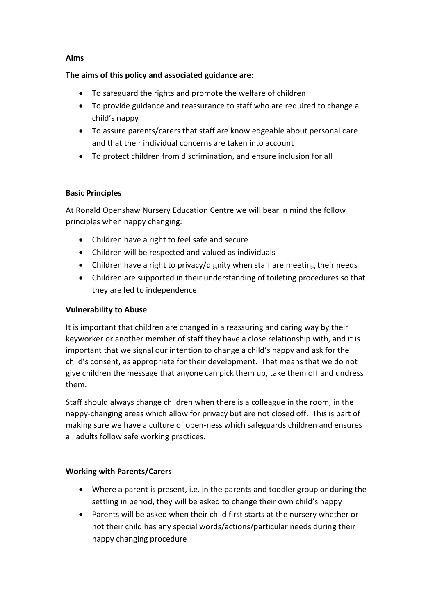#### **Aims**

#### **The aims of this policy and associated guidance are:**

- To safeguard the rights and promote the welfare of children
- To provide guidance and reassurance to staff who are required to change a child's nappy
- To assure parents/carers that staff are knowledgeable about personal care and that their individual concerns are taken into account
- To protect children from discrimination, and ensure inclusion for all

## **Basic Principles**

At Ronald Openshaw Nursery Education Centre we will bear in mind the follow principles when nappy changing:

- Children have a right to feel safe and secure
- Children will be respected and valued as individuals
- Children have a right to privacy/dignity when staff are meeting their needs
- Children are supported in their understanding of toileting procedures so that they are led to independence

#### **Vulnerability to Abuse**

It is important that children are changed in a reassuring and caring way by their keyworker or another member of staff they have a close relationship with, and it is important that we signal our intention to change a child's nappy and ask for the child's consent, as appropriate for their development. That means that we do not give children the message that anyone can pick them up, take them off and undress them.

Staff should always change children when there is a colleague in the room, in the nappy-changing areas which allow for privacy but are not closed off. This is part of making sure we have a culture of open-ness which safeguards children and ensures all adults follow safe working practices.

## **Working with Parents/Carers**

- Where a parent is present, i.e. in the parents and toddler group or during the settling in period, they will be asked to change their own child's nappy
- Parents will be asked when their child first starts at the nursery whether or not their child has any special words/actions/particular needs during their nappy changing procedure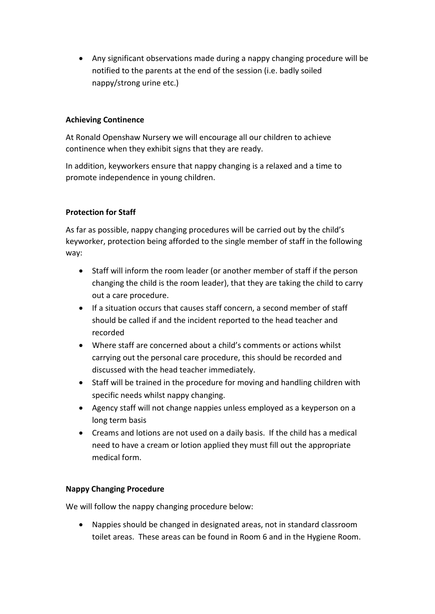Any significant observations made during a nappy changing procedure will be notified to the parents at the end of the session (i.e. badly soiled nappy/strong urine etc.)

## **Achieving Continence**

At Ronald Openshaw Nursery we will encourage all our children to achieve continence when they exhibit signs that they are ready.

In addition, keyworkers ensure that nappy changing is a relaxed and a time to promote independence in young children.

## **Protection for Staff**

As far as possible, nappy changing procedures will be carried out by the child's keyworker, protection being afforded to the single member of staff in the following way:

- Staff will inform the room leader (or another member of staff if the person changing the child is the room leader), that they are taking the child to carry out a care procedure.
- If a situation occurs that causes staff concern, a second member of staff should be called if and the incident reported to the head teacher and recorded
- Where staff are concerned about a child's comments or actions whilst carrying out the personal care procedure, this should be recorded and discussed with the head teacher immediately.
- Staff will be trained in the procedure for moving and handling children with specific needs whilst nappy changing.
- Agency staff will not change nappies unless employed as a keyperson on a long term basis
- Creams and lotions are not used on a daily basis. If the child has a medical need to have a cream or lotion applied they must fill out the appropriate medical form.

## **Nappy Changing Procedure**

We will follow the nappy changing procedure below:

 Nappies should be changed in designated areas, not in standard classroom toilet areas. These areas can be found in Room 6 and in the Hygiene Room.